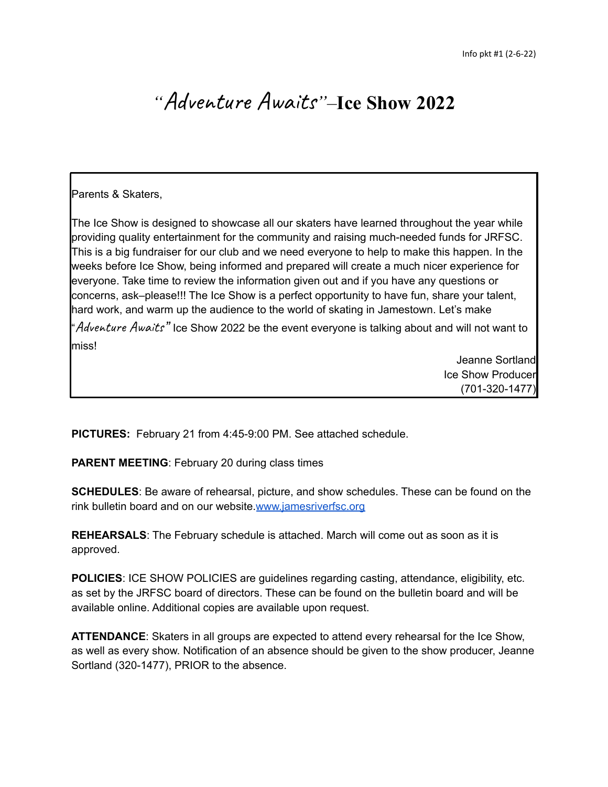# *"*Adventure Awaits*"–***Ice Show 2022**

# Parents & Skaters,

The Ice Show is designed to showcase all our skaters have learned throughout the year while providing quality entertainment for the community and raising much-needed funds for JRFSC. This is a big fundraiser for our club and we need everyone to help to make this happen. In the weeks before Ice Show, being informed and prepared will create a much nicer experience for everyone. Take time to review the information given out and if you have any questions or concerns, ask–please!!! The Ice Show is a perfect opportunity to have fun, share your talent, hard work, and warm up the audience to the world of skating in Jamestown. Let's make

"Adventure Awaits" Ice Show 2022 be the event everyone is talking about and will not want to miss!

> Jeanne Sortland Ice Show Producer (701-320-1477)

**PICTURES:** February 21 from 4:45-9:00 PM. See attached schedule.

**PARENT MEETING**: February 20 during class times

**SCHEDULES**: Be aware of rehearsal, picture, and show schedules. These can be found on the rink bulletin board and on our website.[www.jamesriverfsc.org](http://www.jamesriverfsc.org)

**REHEARSALS**: The February schedule is attached. March will come out as soon as it is approved.

**POLICIES:** ICE SHOW POLICIES are guidelines regarding casting, attendance, eligibility, etc. as set by the JRFSC board of directors. These can be found on the bulletin board and will be available online. Additional copies are available upon request.

**ATTENDANCE**: Skaters in all groups are expected to attend every rehearsal for the Ice Show, as well as every show. Notification of an absence should be given to the show producer, Jeanne Sortland (320-1477), PRIOR to the absence.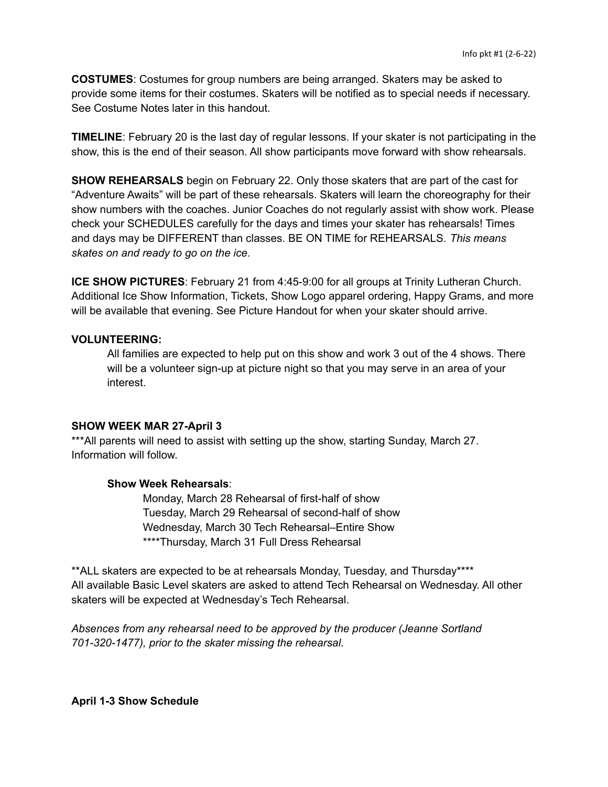**COSTUMES**: Costumes for group numbers are being arranged. Skaters may be asked to provide some items for their costumes. Skaters will be notified as to special needs if necessary. See Costume Notes later in this handout.

**TIMELINE**: February 20 is the last day of regular lessons. If your skater is not participating in the show, this is the end of their season. All show participants move forward with show rehearsals.

**SHOW REHEARSALS** begin on February 22. Only those skaters that are part of the cast for "Adventure Awaits" will be part of these rehearsals. Skaters will learn the choreography for their show numbers with the coaches. Junior Coaches do not regularly assist with show work. Please check your SCHEDULES carefully for the days and times your skater has rehearsals! Times and days may be DIFFERENT than classes. BE ON TIME for REHEARSALS. *This means skates on and ready to go on the ice.*

**ICE SHOW PICTURES**: February 21 from 4:45-9:00 for all groups at Trinity Lutheran Church. Additional Ice Show Information, Tickets, Show Logo apparel ordering, Happy Grams, and more will be available that evening. See Picture Handout for when your skater should arrive.

### **VOLUNTEERING:**

All families are expected to help put on this show and work 3 out of the 4 shows. There will be a volunteer sign-up at picture night so that you may serve in an area of your interest.

### **SHOW WEEK MAR 27-April 3**

\*\*\*All parents will need to assist with setting up the show, starting Sunday, March 27. Information will follow.

## **Show Week Rehearsals**:

Monday, March 28 Rehearsal of first-half of show Tuesday, March 29 Rehearsal of second-half of show Wednesday, March 30 Tech Rehearsal–Entire Show \*\*\*\*Thursday, March 31 Full Dress Rehearsal

\*\*ALL skaters are expected to be at rehearsals Monday, Tuesday, and Thursday\*\*\*\* All available Basic Level skaters are asked to attend Tech Rehearsal on Wednesday. All other skaters will be expected at Wednesday's Tech Rehearsal.

*Absences from any rehearsal need to be approved by the producer (Jeanne Sortland 701-320-1477), prior to the skater missing the rehearsal*.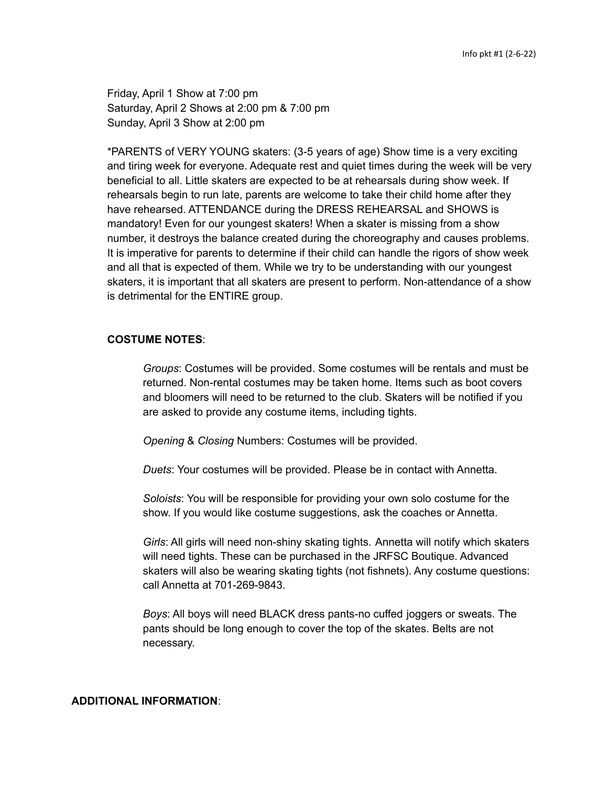Friday, April 1 Show at 7:00 pm Saturday, April 2 Shows at 2:00 pm & 7:00 pm Sunday, April 3 Show at 2:00 pm

\*PARENTS of VERY YOUNG skaters: (3-5 years of age) Show time is a very exciting and tiring week for everyone. Adequate rest and quiet times during the week will be very beneficial to all. Little skaters are expected to be at rehearsals during show week. If rehearsals begin to run late, parents are welcome to take their child home after they have rehearsed. ATTENDANCE during the DRESS REHEARSAL and SHOWS is mandatory! Even for our youngest skaters! When a skater is missing from a show number, it destroys the balance created during the choreography and causes problems. It is imperative for parents to determine if their child can handle the rigors of show week and all that is expected of them. While we try to be understanding with our youngest skaters, it is important that all skaters are present to perform. Non-attendance of a show is detrimental for the ENTIRE group.

## **COSTUME NOTES**:

*Groups*: Costumes will be provided. Some costumes will be rentals and must be returned. Non-rental costumes may be taken home. Items such as boot covers and bloomers will need to be returned to the club. Skaters will be notified if you are asked to provide any costume items, including tights.

*Opening* & *Closing* Numbers: Costumes will be provided.

*Duets*: Your costumes will be provided. Please be in contact with Annetta.

*Soloists*: You will be responsible for providing your own solo costume for the show. If you would like costume suggestions, ask the coaches or Annetta.

*Girls*: All girls will need non-shiny skating tights. Annetta will notify which skaters will need tights. These can be purchased in the JRFSC Boutique. Advanced skaters will also be wearing skating tights (not fishnets). Any costume questions: call Annetta at 701-269-9843.

*Boys*: All boys will need BLACK dress pants-no cuffed joggers or sweats. The pants should be long enough to cover the top of the skates. Belts are not necessary.

#### **ADDITIONAL INFORMATION**: